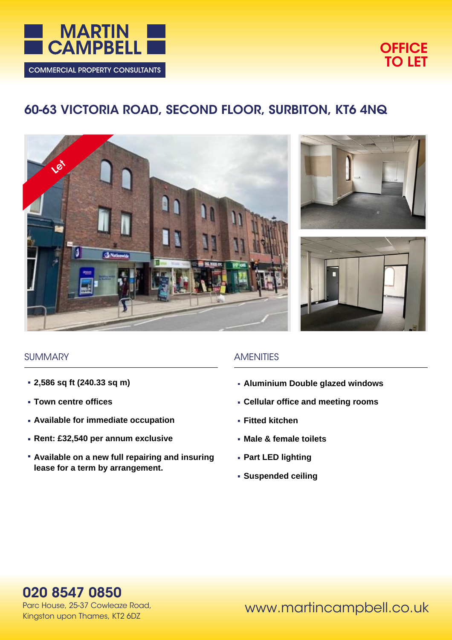



# **60-63 VICTORIA ROAD, SECOND FLOOR, SURBITON, KT6 4NQ**







#### **SUMMARY**

- **2,586 sq ft (240.33 sq m)**
- **Town centre offices**
- **Available for immediate occupation**
- **Rent: £32,540 per annum exclusive**
- **Available on a new full repairing and insuring lease for a term by arrangement.**

#### **AMENITIES**

- **Aluminium Double glazed windows**
- **Cellular office and meeting rooms**
- **Fitted kitchen**
- **Male & female toilets**
- **Part LED lighting**
- **Suspended ceiling**

**020 8547 0850**

Parc House, 25-37 Cowleaze Road, Kingston upon Thames, KT2 6DZ

www.martincampbell.co.uk